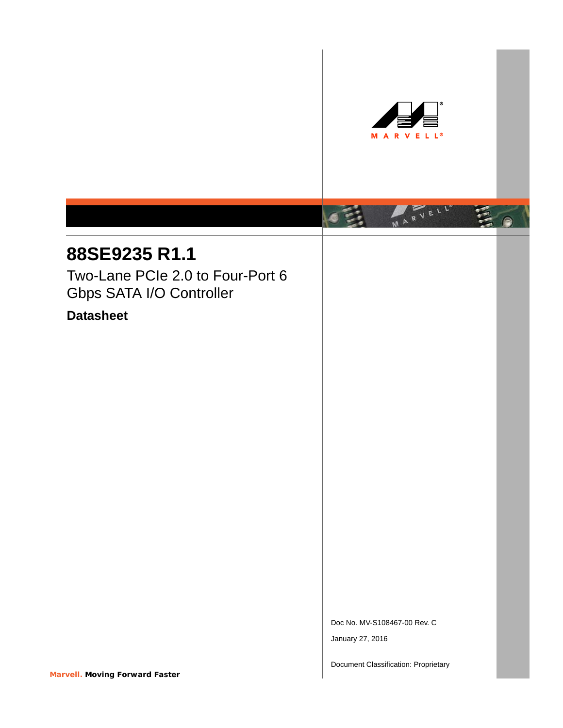

MARVEL

## **88SE9235 R1.1**

Two-Lane PCIe 2.0 to Four-Port 6 Gbps SATA I/O Controller

## **Datasheet**

Doc No. MV-S108467-00 Rev. C January 27, 2016

**Marvell. Moving Forward Faster**

Document Classification: Proprietary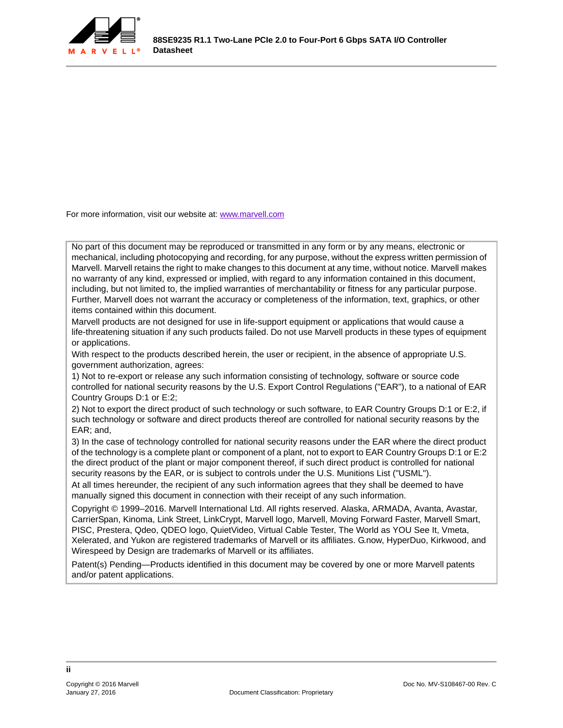

For more information, visit our website at: [www.marvell.com](http://www.marvell.com)

No part of this document may be reproduced or transmitted in any form or by any means, electronic or mechanical, including photocopying and recording, for any purpose, without the express written permission of Marvell. Marvell retains the right to make changes to this document at any time, without notice. Marvell makes no warranty of any kind, expressed or implied, with regard to any information contained in this document, including, but not limited to, the implied warranties of merchantability or fitness for any particular purpose. Further, Marvell does not warrant the accuracy or completeness of the information, text, graphics, or other items contained within this document.

Marvell products are not designed for use in life-support equipment or applications that would cause a life-threatening situation if any such products failed. Do not use Marvell products in these types of equipment or applications.

With respect to the products described herein, the user or recipient, in the absence of appropriate U.S. government authorization, agrees:

1) Not to re-export or release any such information consisting of technology, software or source code controlled for national security reasons by the U.S. Export Control Regulations ("EAR"), to a national of EAR Country Groups D:1 or E:2;

2) Not to export the direct product of such technology or such software, to EAR Country Groups D:1 or E:2, if such technology or software and direct products thereof are controlled for national security reasons by the EAR; and,

3) In the case of technology controlled for national security reasons under the EAR where the direct product of the technology is a complete plant or component of a plant, not to export to EAR Country Groups D:1 or E:2 the direct product of the plant or major component thereof, if such direct product is controlled for national security reasons by the EAR, or is subject to controls under the U.S. Munitions List ("USML").

At all times hereunder, the recipient of any such information agrees that they shall be deemed to have manually signed this document in connection with their receipt of any such information.

Copyright © 1999–2016. Marvell International Ltd. All rights reserved. Alaska, ARMADA, Avanta, Avastar, CarrierSpan, Kinoma, Link Street, LinkCrypt, Marvell logo, Marvell, Moving Forward Faster, Marvell Smart, PISC, Prestera, Qdeo, QDEO logo, QuietVideo, Virtual Cable Tester, The World as YOU See It, Vmeta, Xelerated, and Yukon are registered trademarks of Marvell or its affiliates. G.now, HyperDuo, Kirkwood, and Wirespeed by Design are trademarks of Marvell or its affiliates.

Patent(s) Pending—Products identified in this document may be covered by one or more Marvell patents and/or patent applications.

**ii**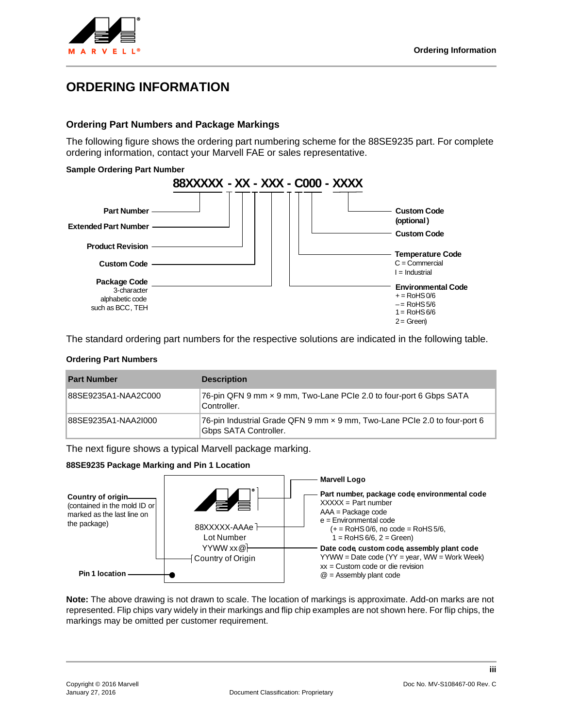

## **ORDERING INFORMATION**

#### **Ordering Part Numbers and Package Markings**

The following figure shows the ordering part numbering scheme for the 88SE9235 part. For complete ordering information, contact your Marvell FAE or sales representative.

#### **Sample Ordering Part Number**



The standard ordering part numbers for the respective solutions are indicated in the following table.

#### **Ordering Part Numbers**

| <b>Part Number</b>  | <b>Description</b>                                                                                 |
|---------------------|----------------------------------------------------------------------------------------------------|
| 88SE9235A1-NAA2C000 | 76-pin QFN 9 mm x 9 mm, Two-Lane PCIe 2.0 to four-port 6 Gbps SATA<br>Controller.                  |
| 88SE9235A1-NAA2I000 | 76-pin Industrial Grade QFN 9 mm x 9 mm, Two-Lane PCIe 2.0 to four-port 6<br>Gbps SATA Controller. |

The next figure shows a typical Marvell package marking.

#### **88SE9235 Package Marking and Pin 1 Location**



**Note:** The above drawing is not drawn to scale. The location of markings is approximate. Add-on marks are not represented. Flip chips vary widely in their markings and flip chip examples are not shown here. For flip chips, the markings may be omitted per customer requirement.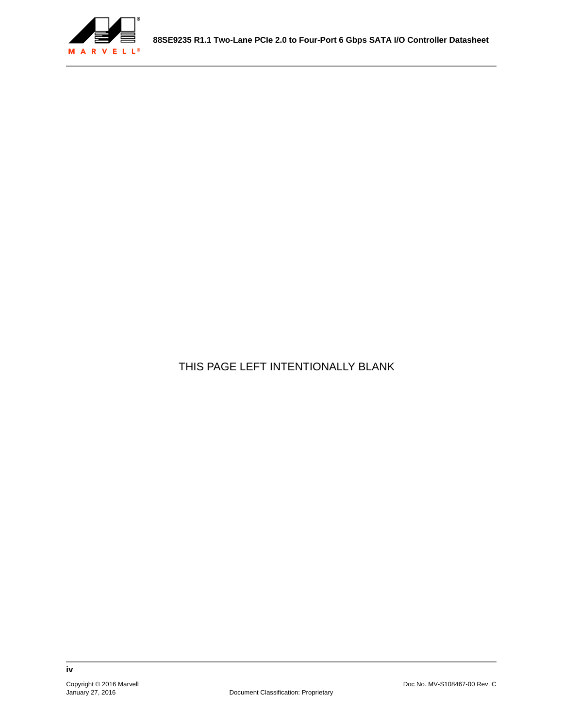

THIS PAGE LEFT INTENTIONALLY BLANK

**iv**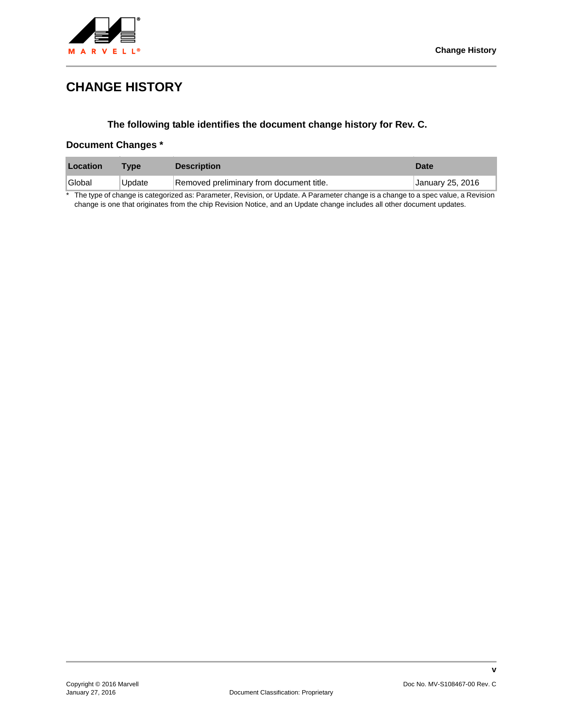

## **CHANGE HISTORY**

#### **The following table identifies the document change history for Rev. C.**

#### **Document Changes \***

| Location                                                                                                                      | Tvpe   | <b>Description</b>                       | Date             |  |  |
|-------------------------------------------------------------------------------------------------------------------------------|--------|------------------------------------------|------------------|--|--|
| <sup>∖</sup> Global                                                                                                           | Update | Removed preliminary from document title. | January 25, 2016 |  |  |
| * The tupe of change is categorized as: Parameter Povision or Undate A Parameter change is a change to a specualus a Povision |        |                                          |                  |  |  |

The type of change is categorized as: Parameter, Revision, or Update. A Parameter change is a change to a spec value, a Revision change is one that originates from the chip Revision Notice, and an Update change includes all other document updates.

**v**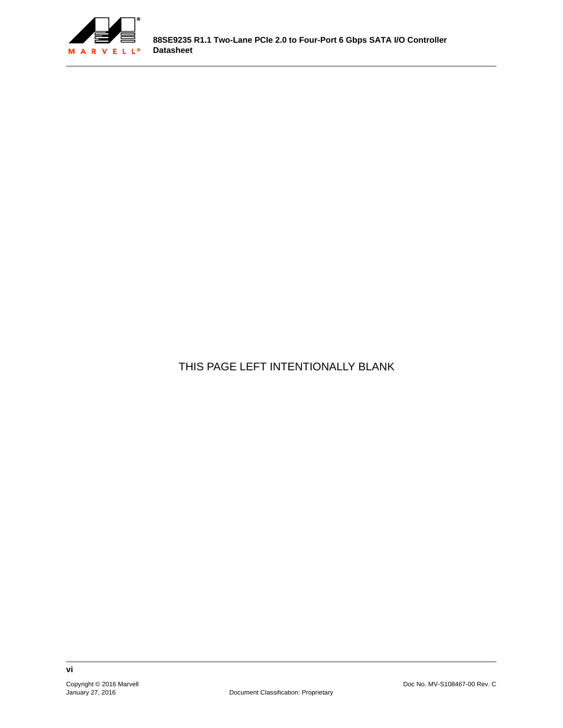

THIS PAGE LEFT INTENTIONALLY BLANK

**vi**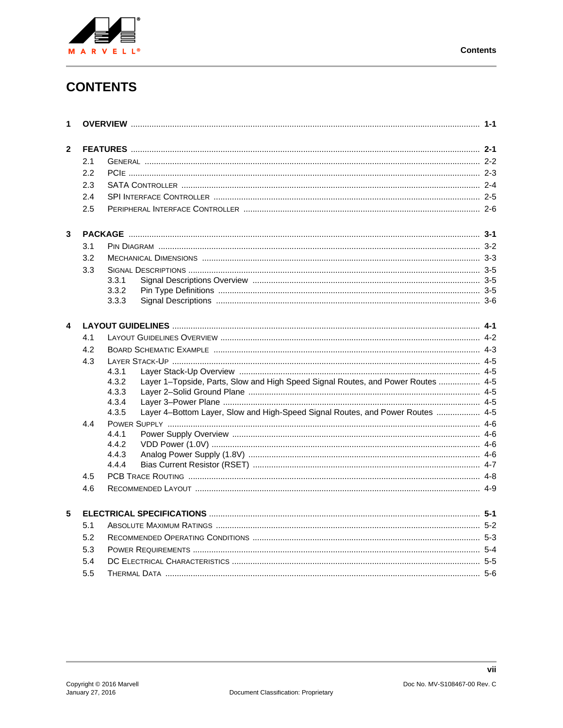

## **CONTENTS**

| 1            |     |                                                                                           |  |  |  |  |  |
|--------------|-----|-------------------------------------------------------------------------------------------|--|--|--|--|--|
| $\mathbf{2}$ |     |                                                                                           |  |  |  |  |  |
|              | 2.1 |                                                                                           |  |  |  |  |  |
|              | 2.2 |                                                                                           |  |  |  |  |  |
|              | 2.3 |                                                                                           |  |  |  |  |  |
|              | 2.4 |                                                                                           |  |  |  |  |  |
|              | 2.5 |                                                                                           |  |  |  |  |  |
|              |     |                                                                                           |  |  |  |  |  |
| 3            |     |                                                                                           |  |  |  |  |  |
|              | 3.1 |                                                                                           |  |  |  |  |  |
|              | 3.2 |                                                                                           |  |  |  |  |  |
|              | 3.3 |                                                                                           |  |  |  |  |  |
|              |     | 3.3.1                                                                                     |  |  |  |  |  |
|              |     | 3.3.2                                                                                     |  |  |  |  |  |
|              |     | 3.3.3                                                                                     |  |  |  |  |  |
| 4            |     |                                                                                           |  |  |  |  |  |
|              | 4.1 |                                                                                           |  |  |  |  |  |
|              | 4.2 |                                                                                           |  |  |  |  |  |
|              | 4.3 |                                                                                           |  |  |  |  |  |
|              |     | 4.3.1                                                                                     |  |  |  |  |  |
|              |     | Layer 1-Topside, Parts, Slow and High Speed Signal Routes, and Power Routes  4-5<br>4.3.2 |  |  |  |  |  |
|              |     | 4.3.3                                                                                     |  |  |  |  |  |
|              |     | 4.3.4                                                                                     |  |  |  |  |  |
|              |     | Layer 4-Bottom Layer, Slow and High-Speed Signal Routes, and Power Routes  4-5<br>4.3.5   |  |  |  |  |  |
|              | 4.4 |                                                                                           |  |  |  |  |  |
|              |     | 4.4.1                                                                                     |  |  |  |  |  |
|              |     | 4.4.2<br>4.4.3                                                                            |  |  |  |  |  |
|              |     | 4.4.4                                                                                     |  |  |  |  |  |
|              | 4.5 |                                                                                           |  |  |  |  |  |
|              | 4.6 |                                                                                           |  |  |  |  |  |
|              |     |                                                                                           |  |  |  |  |  |
| 5            |     |                                                                                           |  |  |  |  |  |
|              | 5.1 |                                                                                           |  |  |  |  |  |
|              | 5.2 |                                                                                           |  |  |  |  |  |
|              | 5.3 |                                                                                           |  |  |  |  |  |
|              | 5.4 |                                                                                           |  |  |  |  |  |
|              | 5.5 |                                                                                           |  |  |  |  |  |

vii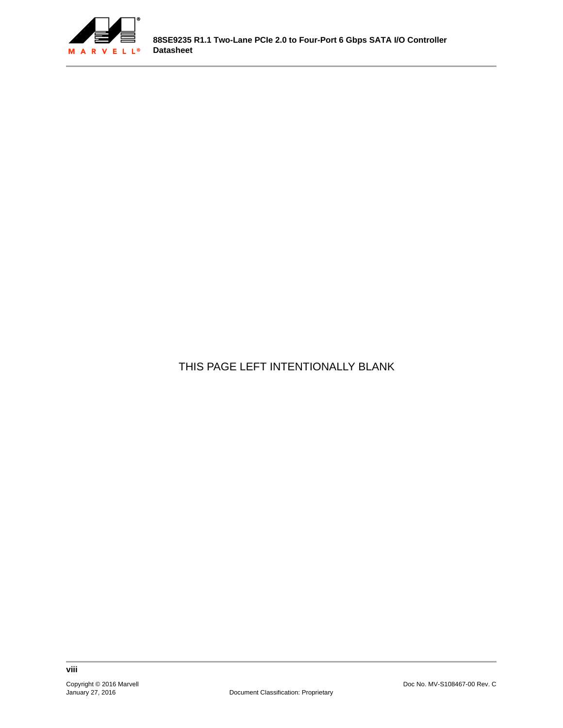

THIS PAGE LEFT INTENTIONALLY BLANK

**viii**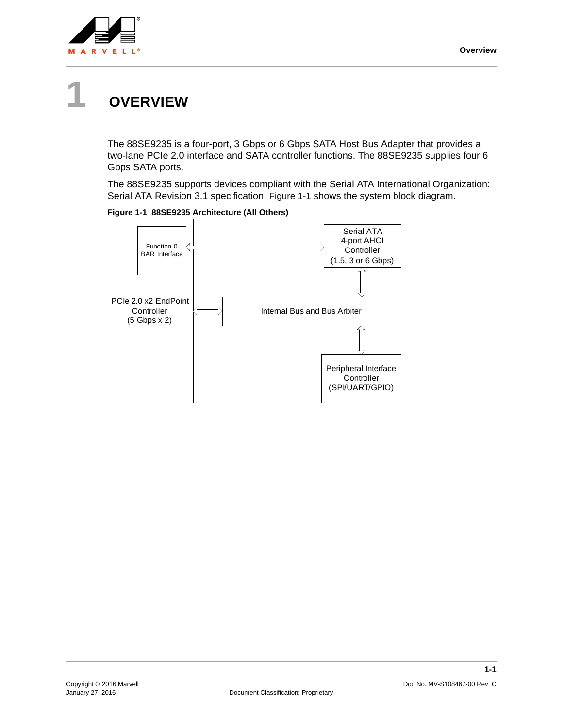

## <span id="page-8-0"></span>**1 OVERVIEW**

The 88SE9235 is a four-port, 3 Gbps or 6 Gbps SATA Host Bus Adapter that provides a two-lane PCIe 2.0 interface and SATA controller functions. The 88SE9235 supplies four 6 Gbps SATA ports.

The 88SE9235 supports devices compliant with the Serial ATA International Organization: Serial ATA Revision 3.1 specification. [Figure 1-1](#page-8-1) shows the system block diagram.

<span id="page-8-1"></span>

**Figure 1-1 88SE9235 Architecture (All Others)**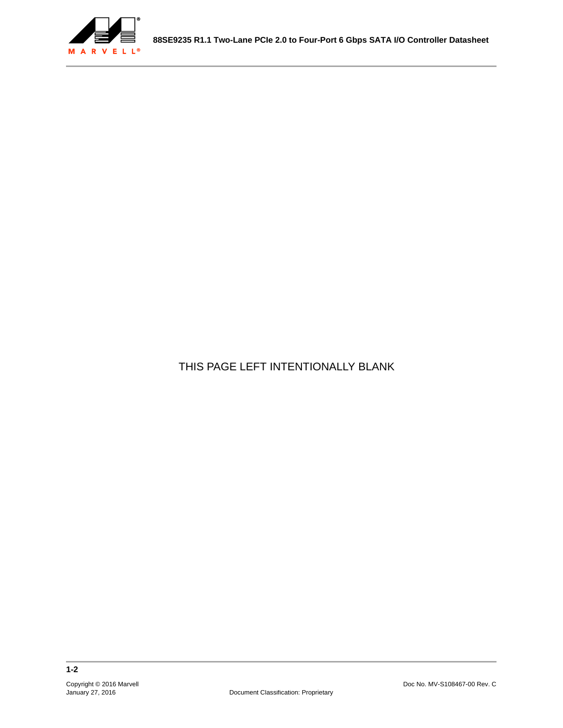

THIS PAGE LEFT INTENTIONALLY BLANK

**1-2**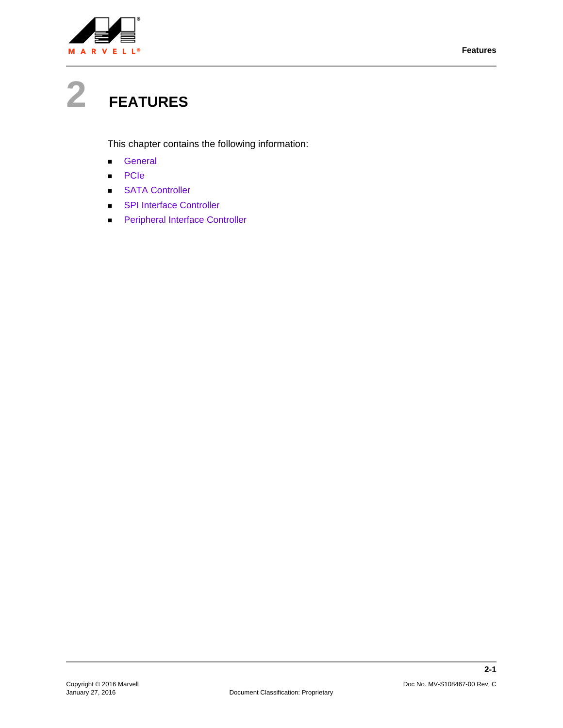

# <span id="page-10-0"></span>**2 FEATURES**

This chapter contains the following information:

- [General](#page-11-0)
- [PCIe](#page-12-0)
- [SATA Controller](#page-13-0)
- [SPI Interface Controller](#page-14-0)
- **[Peripheral Interface Controller](#page-15-0)**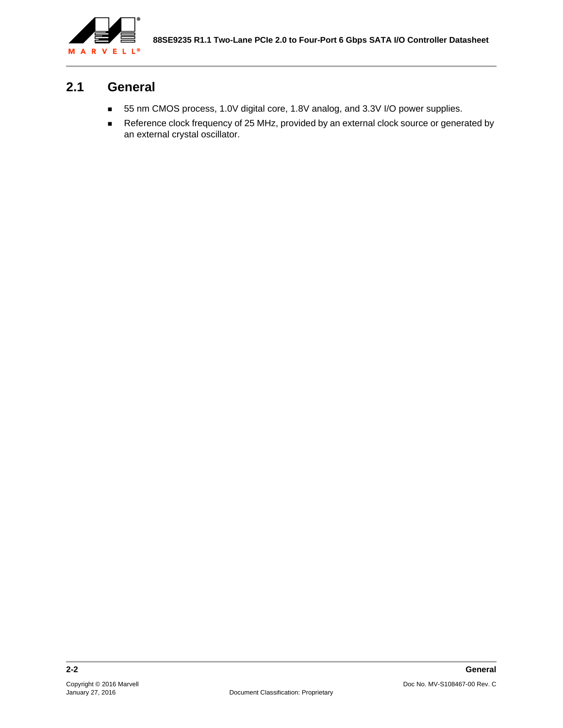

### <span id="page-11-0"></span>**2.1 General**

- 55 nm CMOS process, 1.0V digital core, 1.8V analog, and 3.3V I/O power supplies.
- Reference clock frequency of 25 MHz, provided by an external clock source or generated by an external crystal oscillator.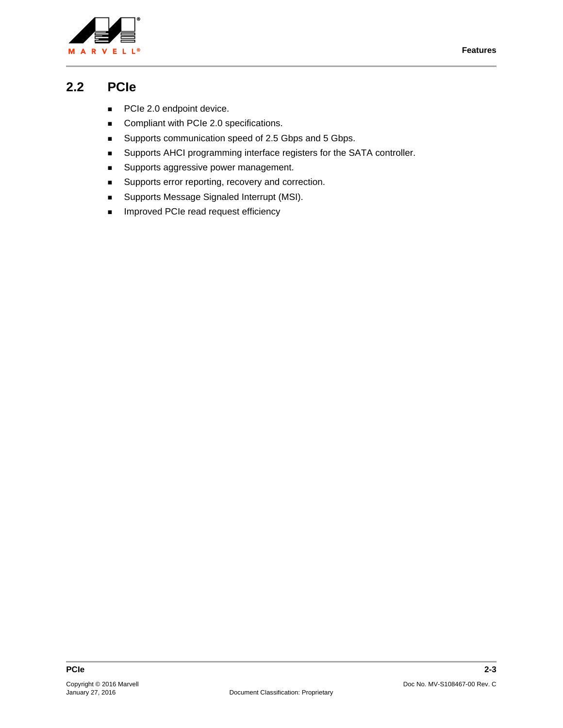

## <span id="page-12-0"></span>**2.2 PCIe**

- PCIe 2.0 endpoint device.
- Compliant with PCIe 2.0 specifications.
- **Supports communication speed of 2.5 Gbps and 5 Gbps.**
- **Supports AHCI programming interface registers for the SATA controller.**
- **Supports aggressive power management.**
- **Supports error reporting, recovery and correction.**
- Supports Message Signaled Interrupt (MSI).
- **IMPROVED PCIE read request efficiency**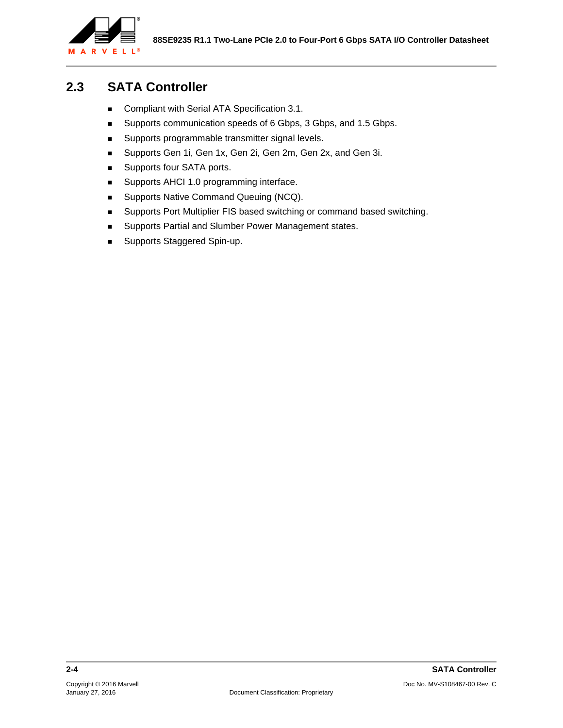

## <span id="page-13-0"></span>**2.3 SATA Controller**

- Compliant with Serial ATA Specification 3.1.
- Supports communication speeds of 6 Gbps, 3 Gbps, and 1.5 Gbps.
- **Supports programmable transmitter signal levels.**
- **Supports Gen 1i, Gen 1x, Gen 2i, Gen 2m, Gen 2x, and Gen 3i.**
- **Supports four SATA ports.**
- Supports AHCI 1.0 programming interface.
- **Supports Native Command Queuing (NCQ).**
- **Supports Port Multiplier FIS based switching or command based switching.**
- **Supports Partial and Slumber Power Management states.**
- **Bupports Staggered Spin-up.**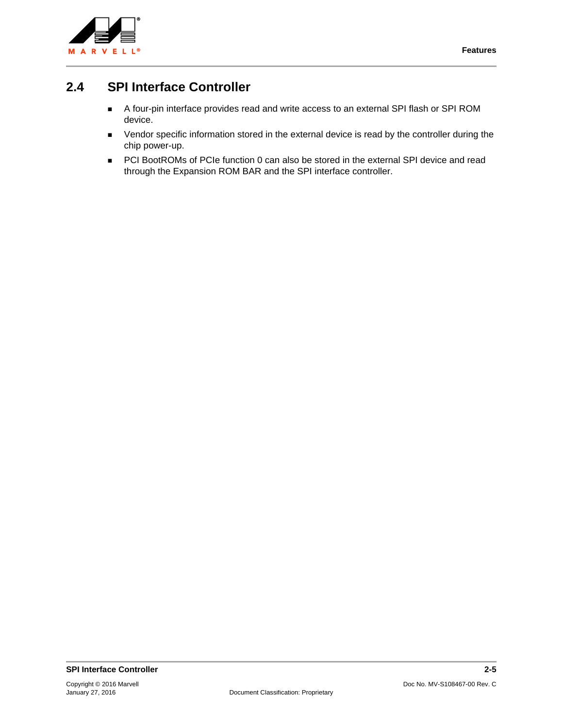

## <span id="page-14-0"></span>**2.4 SPI Interface Controller**

- A four-pin interface provides read and write access to an external SPI flash or SPI ROM device.
- **•** Vendor specific information stored in the external device is read by the controller during the chip power-up.
- PCI BootROMs of PCIe function 0 can also be stored in the external SPI device and read through the Expansion ROM BAR and the SPI interface controller.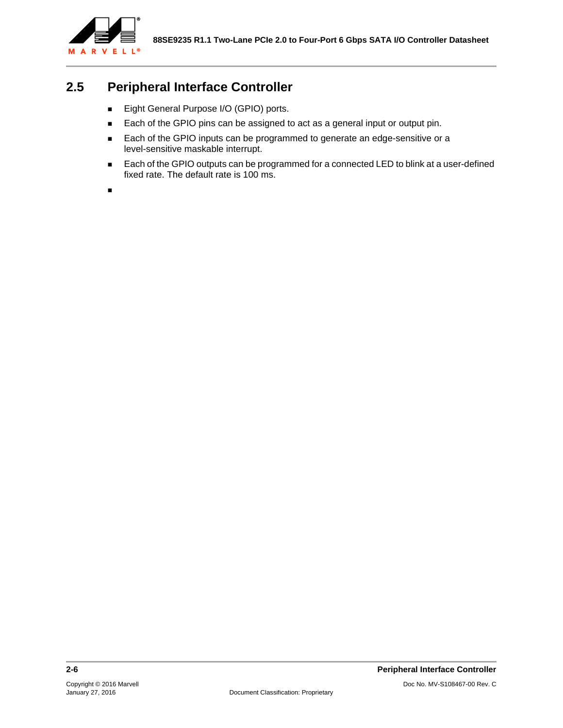

## <span id="page-15-0"></span>**2.5 Peripheral Interface Controller**

- **Eight General Purpose I/O (GPIO) ports.**
- Each of the GPIO pins can be assigned to act as a general input or output pin.
- Each of the GPIO inputs can be programmed to generate an edge-sensitive or a level-sensitive maskable interrupt.
- Each of the GPIO outputs can be programmed for a connected LED to blink at a user-defined fixed rate. The default rate is 100 ms.
- $\blacksquare$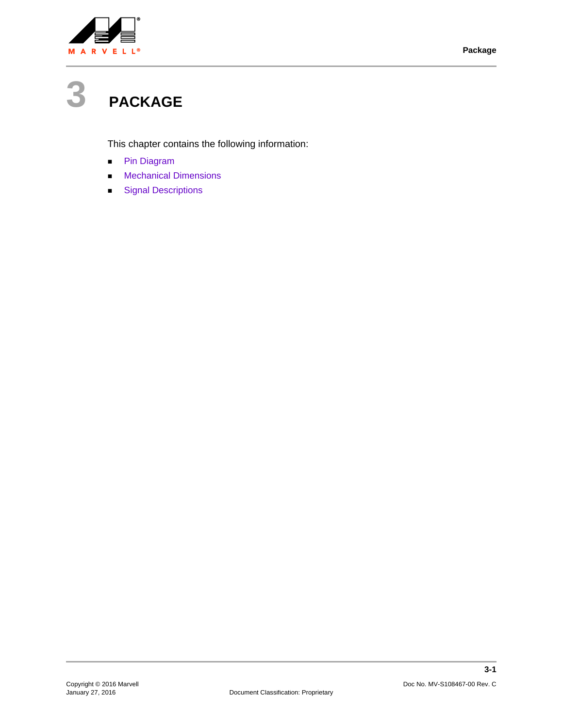

## <span id="page-16-1"></span><span id="page-16-0"></span>**3 PACKAGE**

This chapter contains the following information:

- **[Pin Diagram](#page-17-0)**
- **[Mechanical Dimensions](#page-18-0)**
- [Signal Descriptions](#page-20-0)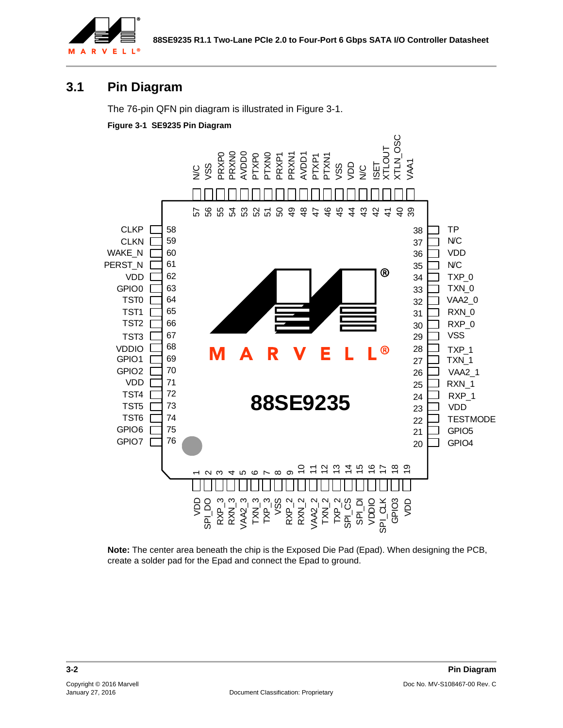

## <span id="page-17-0"></span>**3.1 Pin Diagram**

The 76-pin QFN pin diagram is illustrated in [Figure 3-1](#page-17-1).

**Figure 3-1 SE9235 Pin Diagram** 

<span id="page-17-1"></span>

**Note:** The center area beneath the chip is the Exposed Die Pad (Epad). When designing the PCB,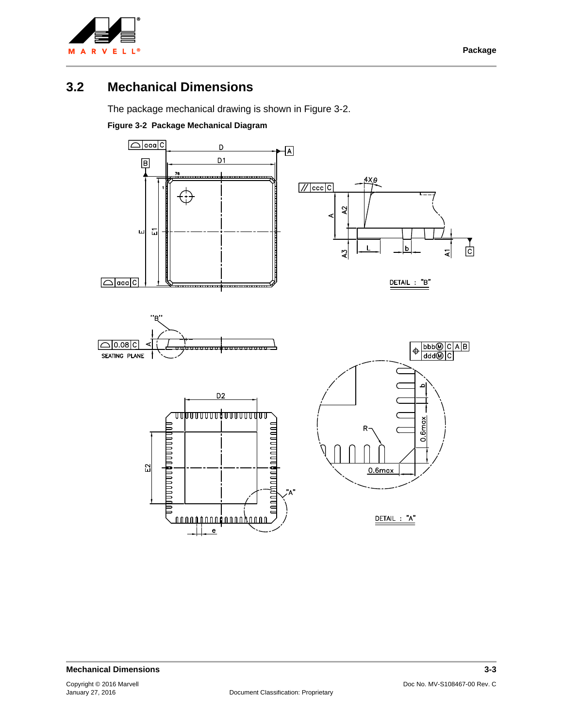

## <span id="page-18-0"></span>**3.2 Mechanical Dimensions**

The package mechanical drawing is shown in [Figure 3-2.](#page-18-1)

**Figure 3-2 Package Mechanical Diagram**

<span id="page-18-1"></span>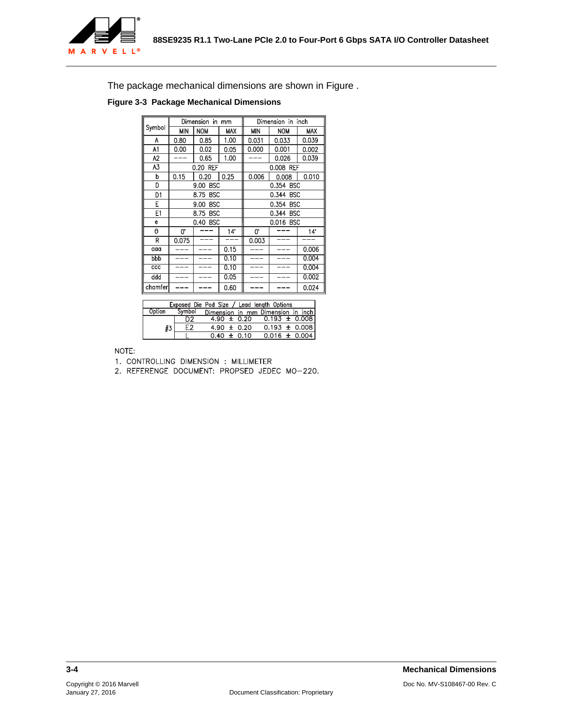

<span id="page-19-0"></span>The package mechanical dimensions are shown in [Figure .](#page-19-0)

#### **Figure 3-3 Package Mechanical Dimensions**

|                |            | Dimension in mm    |                 | Dimension in inch |            |                 |
|----------------|------------|--------------------|-----------------|-------------------|------------|-----------------|
| Symbol         | <b>MIN</b> | <b>NOM</b>         | <b>MAX</b>      | <b>MIN</b>        | <b>NOM</b> | <b>MAX</b>      |
| A              | 0.80       | 0.85               | 1.00            | 0.031             | 0.033      | 0.039           |
| A1             | 0.00       | 0.02               | 0.05            | 0.000             | 0.001      | 0.002           |
| A2             |            | 0.65               | 1.00            |                   | 0.026      | 0.039           |
| A3             |            | 0.20 REF           |                 |                   | 0.008 REF  |                 |
| b              | 0.15       | 0.20               | 0.25            | 0.006             | 0.008      | 0.010           |
| D              |            | <b>BSC</b><br>9.00 |                 |                   | 0.354 BSC  |                 |
| D1             |            | <b>BSC</b><br>8.75 |                 | 0.344 BSC         |            |                 |
| E              |            | <b>BSC</b><br>9.00 |                 | 0.354 BSC         |            |                 |
| E <sub>1</sub> |            | <b>BSC</b><br>8.75 |                 |                   | 0.344 BSC  |                 |
| e              |            | 0.40<br><b>BSC</b> |                 | 0.016 BSC         |            |                 |
| θ              | 0.         |                    | 14 <sup>°</sup> | 0.                |            | 14 <sup>°</sup> |
| R              | 0.075      |                    |                 | 0.003             |            |                 |
| aaa            |            |                    | 0.15            |                   |            | 0.006           |
| bbb            |            |                    | 0.10            |                   |            | 0.004           |
| ccc            |            |                    | 0.10            |                   |            | 0.004           |
| ddd            |            |                    | 0.05            |                   |            | 0.002           |
| chamfer        |            |                    | 0.60            |                   |            | 0.024           |

|        |        |                 |            | Exposed Die Pad Size / Lead length Options |  |
|--------|--------|-----------------|------------|--------------------------------------------|--|
| Option | Symbol |                 |            | Dimension in mm Dimension in inch          |  |
|        | D2     | $4.90 \pm 0.20$ |            | $0.193 \pm 0.008$                          |  |
| #3     |        | $4.90 \pm 0.20$ |            | $0.193 \pm 0.008$                          |  |
|        |        |                 | $\pm$ 0.10 | $0.016 \pm 0.004$                          |  |

NOTE:

1. CONTROLLING DIMENSION : MILLIMETER

2. REFERENGE DOCUMENT: PROPSED JEDEC MO-220.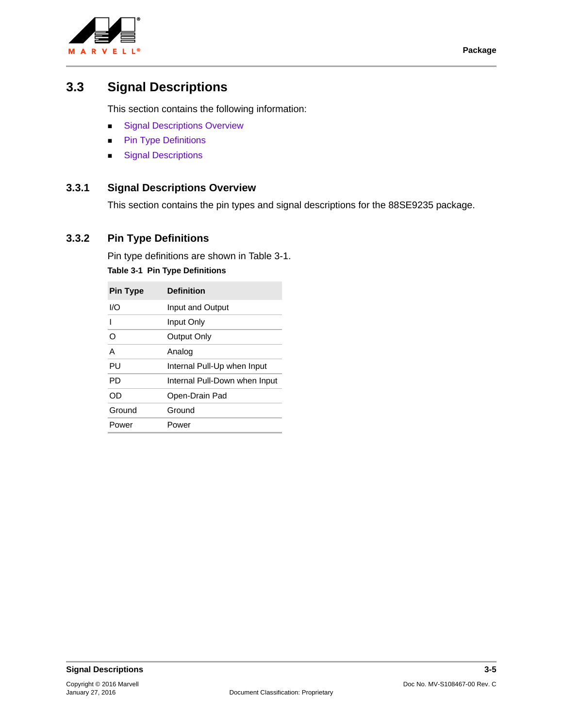

## <span id="page-20-0"></span>**3.3 Signal Descriptions**

This section contains the following information:

- **[Signal Descriptions Overview](#page-20-1)**
- **[Pin Type Definitions](#page-20-2)**
- **[Signal Descriptions](#page-21-0)**

#### <span id="page-20-1"></span>**3.3.1 Signal Descriptions Overview**

This section contains the pin types and signal descriptions for the 88SE9235 package.

#### <span id="page-20-3"></span><span id="page-20-2"></span>**3.3.2 Pin Type Definitions**

Pin type definitions are shown in [Table 3-1.](#page-20-3) **Table 3-1 Pin Type Definitions**

| <b>Pin Type</b> | <b>Definition</b>             |
|-----------------|-------------------------------|
| I/O             | Input and Output              |
|                 | Input Only                    |
| O               | Output Only                   |
| A               | Analog                        |
| PU              | Internal Pull-Up when Input   |
| PD              | Internal Pull-Down when Input |
| OD              | Open-Drain Pad                |
| Ground          | Ground                        |
| Power           | Power                         |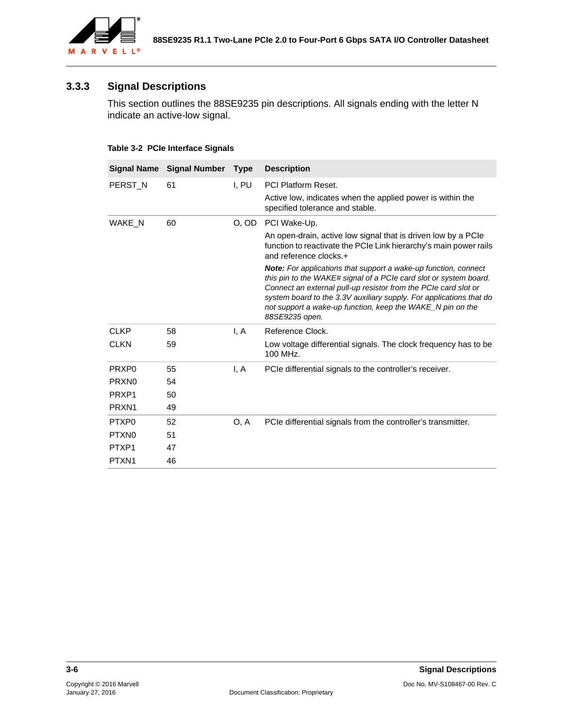

#### <span id="page-21-0"></span>**3.3.3 Signal Descriptions**

This section outlines the 88SE9235 pin descriptions. All signals ending with the letter N indicate an active-low signal.

#### **Table 3-2 PCIe Interface Signals**

|                   | Signal Name Signal Number | <b>Type</b> | <b>Description</b>                                                                                                                                                                                                                                                                                                                                                    |
|-------------------|---------------------------|-------------|-----------------------------------------------------------------------------------------------------------------------------------------------------------------------------------------------------------------------------------------------------------------------------------------------------------------------------------------------------------------------|
| PERST_N           | 61                        | I, PU       | <b>PCI Platform Reset.</b>                                                                                                                                                                                                                                                                                                                                            |
|                   |                           |             | Active low, indicates when the applied power is within the<br>specified tolerance and stable.                                                                                                                                                                                                                                                                         |
| WAKE N            | 60                        | O, OD       | PCI Wake-Up.                                                                                                                                                                                                                                                                                                                                                          |
|                   |                           |             | An open-drain, active low signal that is driven low by a PCIe<br>function to reactivate the PCIe Link hierarchy's main power rails<br>and reference clocks.+                                                                                                                                                                                                          |
|                   |                           |             | <b>Note:</b> For applications that support a wake-up function, connect<br>this pin to the WAKE# signal of a PCIe card slot or system board.<br>Connect an external pull-up resistor from the PCIe card slot or<br>system board to the 3.3V auxiliary supply. For applications that do<br>not support a wake-up function, keep the WAKE_N pin on the<br>88SE9235 open. |
| <b>CLKP</b>       | 58                        | I, A        | Reference Clock.                                                                                                                                                                                                                                                                                                                                                      |
| <b>CLKN</b>       | 59                        |             | Low voltage differential signals. The clock frequency has to be<br>100 MHz.                                                                                                                                                                                                                                                                                           |
| PRXP <sub>0</sub> | 55                        | I, A        | PCIe differential signals to the controller's receiver.                                                                                                                                                                                                                                                                                                               |
| PRXN <sub>0</sub> | 54                        |             |                                                                                                                                                                                                                                                                                                                                                                       |
| PRXP1             | 50                        |             |                                                                                                                                                                                                                                                                                                                                                                       |
| PRXN <sub>1</sub> | 49                        |             |                                                                                                                                                                                                                                                                                                                                                                       |
| PTXP <sub>0</sub> | 52                        | O, A        | PCIe differential signals from the controller's transmitter.                                                                                                                                                                                                                                                                                                          |
| PTXN <sub>0</sub> | 51                        |             |                                                                                                                                                                                                                                                                                                                                                                       |
| PTXP1             | 47                        |             |                                                                                                                                                                                                                                                                                                                                                                       |
| PTXN <sub>1</sub> | 46                        |             |                                                                                                                                                                                                                                                                                                                                                                       |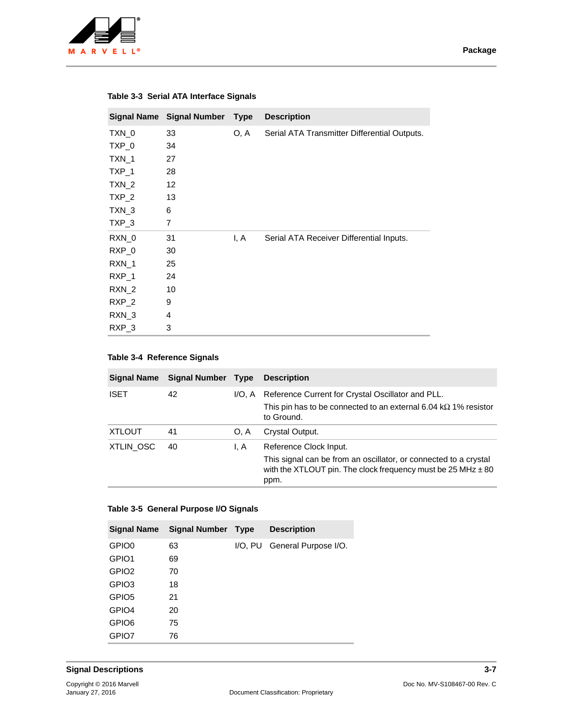

|         | <b>Signal Name Signal Number</b> | <b>Type</b> | <b>Description</b>                           |
|---------|----------------------------------|-------------|----------------------------------------------|
| TXN_0   | 33                               | 0, A        | Serial ATA Transmitter Differential Outputs. |
| TXP_0   | 34                               |             |                                              |
| TXN_1   | 27                               |             |                                              |
| $TXP_1$ | 28                               |             |                                              |
| $TXN_2$ | 12                               |             |                                              |
| $TXP_2$ | 13                               |             |                                              |
| $TXN_3$ | 6                                |             |                                              |
| $TXP_3$ | $\overline{7}$                   |             |                                              |
| $RXN_0$ | 31                               | I, A        | Serial ATA Receiver Differential Inputs.     |
| $RXP_0$ | 30                               |             |                                              |
| $RXN_1$ | 25                               |             |                                              |
| RXP_1   | 24                               |             |                                              |
| $RXN_2$ | 10                               |             |                                              |
| $RXP_2$ | 9                                |             |                                              |
| RXN_3   | 4                                |             |                                              |
| RXP_3   | 3                                |             |                                              |

#### **Table 3-3 Serial ATA Interface Signals**

#### **Table 3-4 Reference Signals**

| Signal Name   | Signal Number Type |      | <b>Description</b>                                                                                                                                                     |
|---------------|--------------------|------|------------------------------------------------------------------------------------------------------------------------------------------------------------------------|
| <b>ISET</b>   | 42                 |      | I/O, A Reference Current for Crystal Oscillator and PLL.<br>This pin has to be connected to an external 6.04 k $\Omega$ 1% resistor<br>to Ground.                      |
| <b>XTLOUT</b> | 41                 | O. A | Crystal Output.                                                                                                                                                        |
| XTLIN OSC     | 40                 | I. A | Reference Clock Input.<br>This signal can be from an oscillator, or connected to a crystal<br>with the XTLOUT pin. The clock frequency must be 25 MHz $\pm$ 80<br>ppm. |

#### **Table 3-5 General Purpose I/O Signals**

| <b>Signal Name</b> | <b>Signal Number Type</b> | <b>Description</b>           |
|--------------------|---------------------------|------------------------------|
| GPIO <sub>0</sub>  | 63                        | I/O, PU General Purpose I/O. |
| GPIO1              | 69                        |                              |
| GPIO <sub>2</sub>  | 70                        |                              |
| GPIO <sub>3</sub>  | 18                        |                              |
| GPIO <sub>5</sub>  | 21                        |                              |
| GPIO4              | 20                        |                              |
| GPIO <sub>6</sub>  | 75                        |                              |
| GPIO7              | 76                        |                              |

#### **Signal Descriptions 3-7**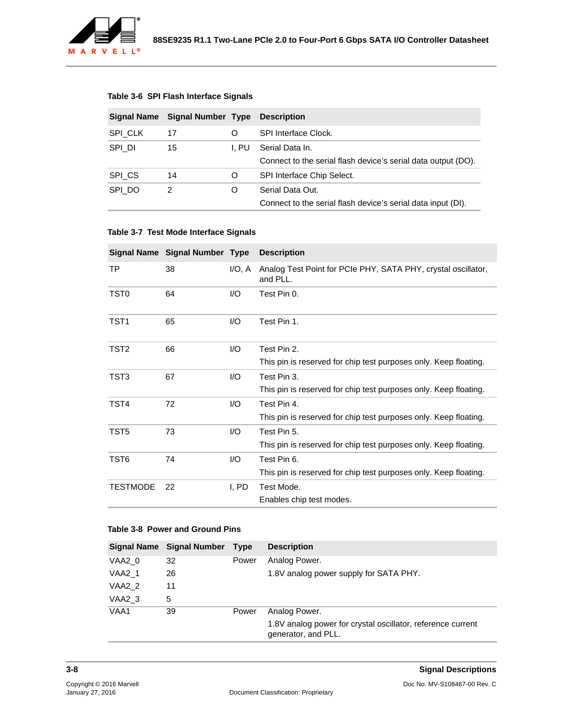

#### **Table 3-6 SPI Flash Interface Signals**

| Signal Name | Signal Number Type |       | <b>Description</b>                                            |
|-------------|--------------------|-------|---------------------------------------------------------------|
| SPI CLK     | 17                 | O     | SPI Interface Clock.                                          |
| SPI DI      | 15                 | I. PU | Serial Data In.                                               |
|             |                    |       | Connect to the serial flash device's serial data output (DO). |
| SPI CS      | 14                 | O     | SPI Interface Chip Select.                                    |
| SPI DO      | 2                  | Ω     | Serial Data Out.                                              |
|             |                    |       | Connect to the serial flash device's serial data input (DI).  |

#### **Table 3-7 Test Mode Interface Signals**

|                  | Signal Name Signal Number Type |        | <b>Description</b>                                                        |
|------------------|--------------------------------|--------|---------------------------------------------------------------------------|
| TP               | 38                             | I/O, A | Analog Test Point for PCIe PHY, SATA PHY, crystal oscillator,<br>and PLL. |
| TST <sub>0</sub> | 64                             | 1/O    | Test Pin 0.                                                               |
| TST <sub>1</sub> | 65                             | I/O    | Test Pin 1.                                                               |
| TST <sub>2</sub> | 66                             | 1/O    | Test Pin 2.                                                               |
|                  |                                |        | This pin is reserved for chip test purposes only. Keep floating.          |
| TST3             | 67                             | 1/O    | Test Pin 3.                                                               |
|                  |                                |        | This pin is reserved for chip test purposes only. Keep floating.          |
| TST4             | 72                             | 1/O    | Test Pin 4.                                                               |
|                  |                                |        | This pin is reserved for chip test purposes only. Keep floating.          |
| TST <sub>5</sub> | 73                             | 1/O    | Test Pin 5.                                                               |
|                  |                                |        | This pin is reserved for chip test purposes only. Keep floating.          |
| TST6             | 74                             | 1/O    | Test Pin 6.                                                               |
|                  |                                |        | This pin is reserved for chip test purposes only. Keep floating.          |
| <b>TESTMODE</b>  | 22                             | I, PD  | Test Mode.                                                                |
|                  |                                |        | Enables chip test modes.                                                  |

#### **Table 3-8 Power and Ground Pins**

|                    | Signal Name Signal Number | <b>Type</b> | <b>Description</b>                                                                 |
|--------------------|---------------------------|-------------|------------------------------------------------------------------------------------|
| VAA <sub>2</sub> 0 | 32                        | Power       | Analog Power.                                                                      |
| <b>VAA2 1</b>      | 26                        |             | 1.8V analog power supply for SATA PHY.                                             |
| VAA <sub>2</sub> 2 | 11                        |             |                                                                                    |
| VAA <sub>2</sub> 3 | 5                         |             |                                                                                    |
| VAA1               | 39                        | Power       | Analog Power.                                                                      |
|                    |                           |             | 1.8V analog power for crystal oscillator, reference current<br>generator, and PLL. |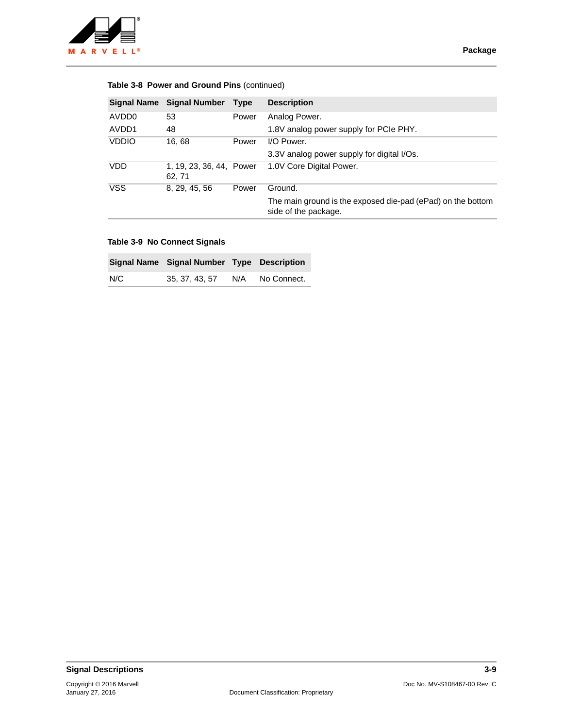

#### **Table 3-8 Power and Ground Pins** (continued)

|                   | Signal Name Signal Number          | <b>Type</b> | <b>Description</b>                                                                  |
|-------------------|------------------------------------|-------------|-------------------------------------------------------------------------------------|
| AVDD <sub>0</sub> | 53                                 | Power       | Analog Power.                                                                       |
| AVDD <sub>1</sub> | 48                                 |             | 1.8V analog power supply for PCIe PHY.                                              |
| <b>VDDIO</b>      | 16.68                              | Power       | I/O Power.                                                                          |
|                   |                                    |             | 3.3V analog power supply for digital I/Os.                                          |
| <b>VDD</b>        | 1, 19, 23, 36, 44, Power<br>62, 71 |             | 1.0V Core Digital Power.                                                            |
| <b>VSS</b>        | 8, 29, 45, 56                      | Power       | Ground.                                                                             |
|                   |                                    |             | The main ground is the exposed die-pad (ePad) on the bottom<br>side of the package. |

#### **Table 3-9 No Connect Signals**

|     | Signal Name Signal Number Type Description |     |             |
|-----|--------------------------------------------|-----|-------------|
| N/C | 35, 37, 43, 57                             | N/A | No Connect. |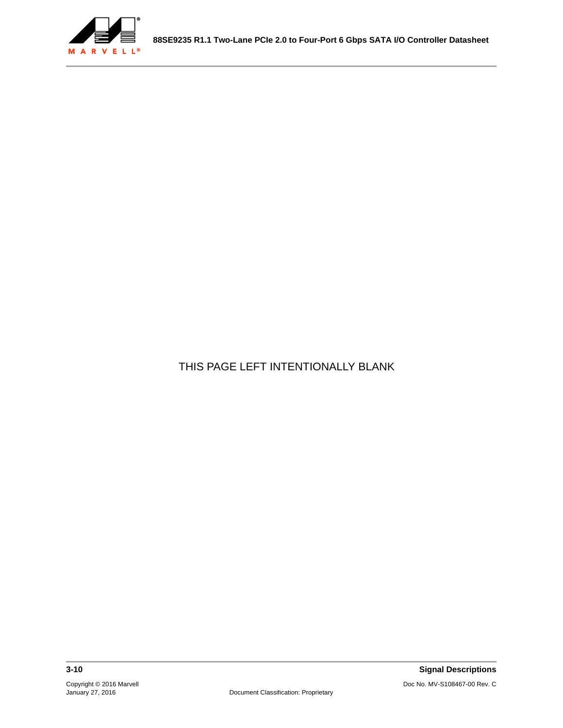

THIS PAGE LEFT INTENTIONALLY BLANK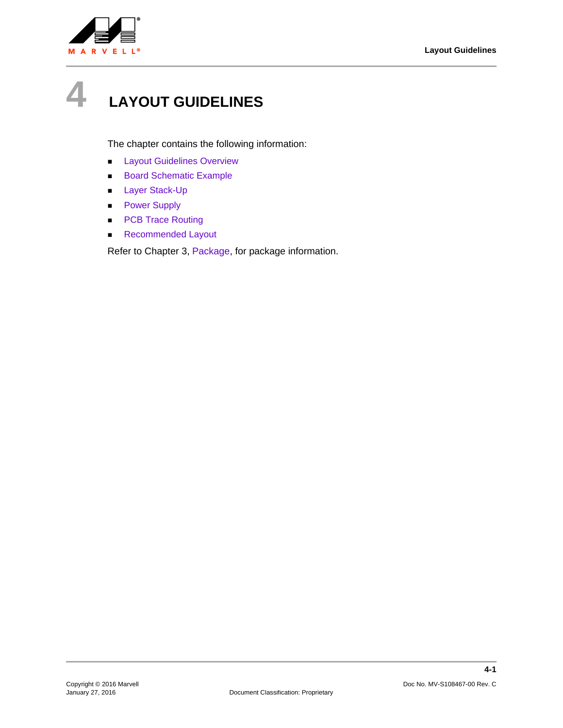

## <span id="page-26-0"></span>**4 LAYOUT GUIDELINES**

The chapter contains the following information:

- **[Layout Guidelines Overview](#page-27-0)**
- [Board Schematic Example](#page-28-0)
- **[Layer Stack-Up](#page-30-0)**
- **[Power Supply](#page-31-0)**
- [PCB Trace Routing](#page-33-0)
- [Recommended Layout](#page-34-0)

Refer to [Chapter 3, Package](#page-16-1), for package information.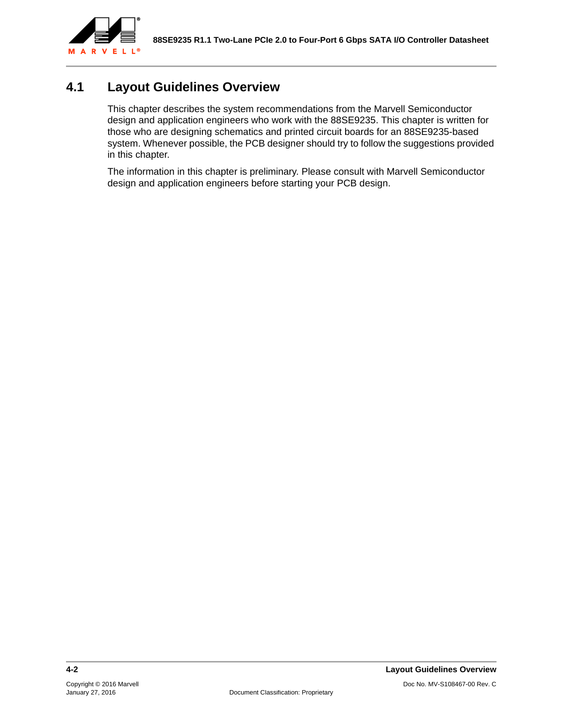

## <span id="page-27-0"></span>**4.1 Layout Guidelines Overview**

This chapter describes the system recommendations from the Marvell Semiconductor design and application engineers who work with the 88SE9235. This chapter is written for those who are designing schematics and printed circuit boards for an 88SE9235-based system. Whenever possible, the PCB designer should try to follow the suggestions provided in this chapter.

The information in this chapter is preliminary. Please consult with Marvell Semiconductor design and application engineers before starting your PCB design.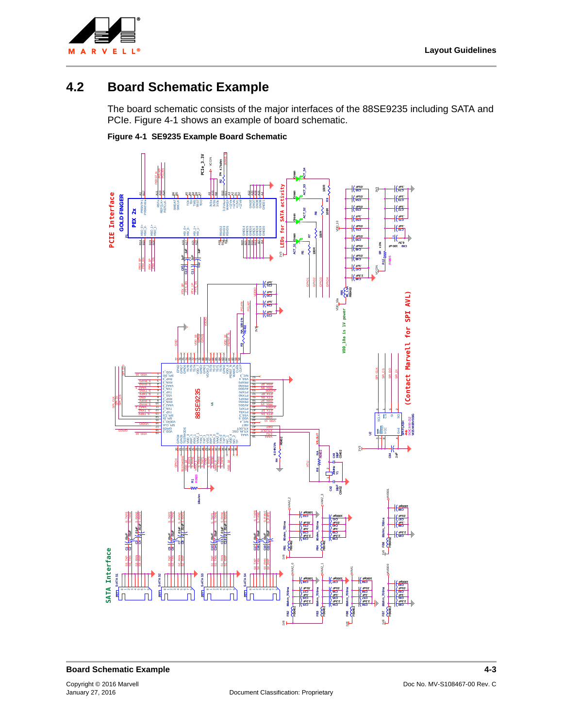

## <span id="page-28-0"></span>**4.2 Board Schematic Example**

The board schematic consists of the major interfaces of the 88SE9235 including SATA and PCIe. [Figure 4-1](#page-28-1) shows an example of board schematic.



<span id="page-28-1"></span>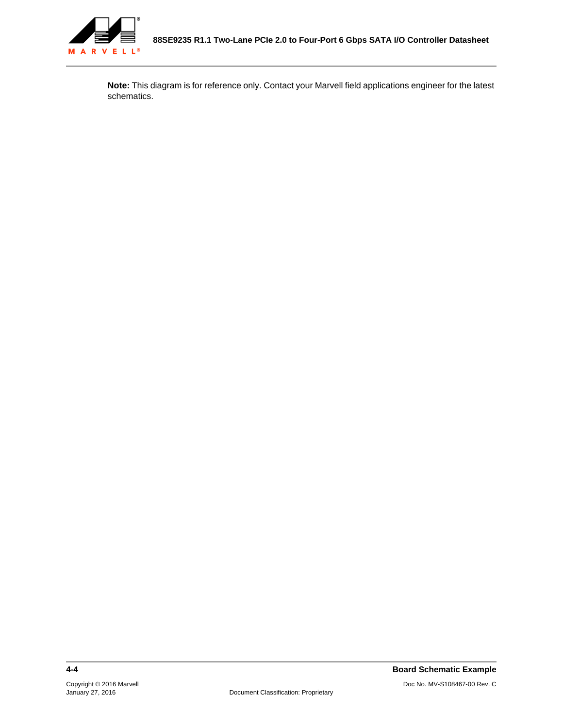

**Note:** This diagram is for reference only. Contact your Marvell field applications engineer for the latest schematics.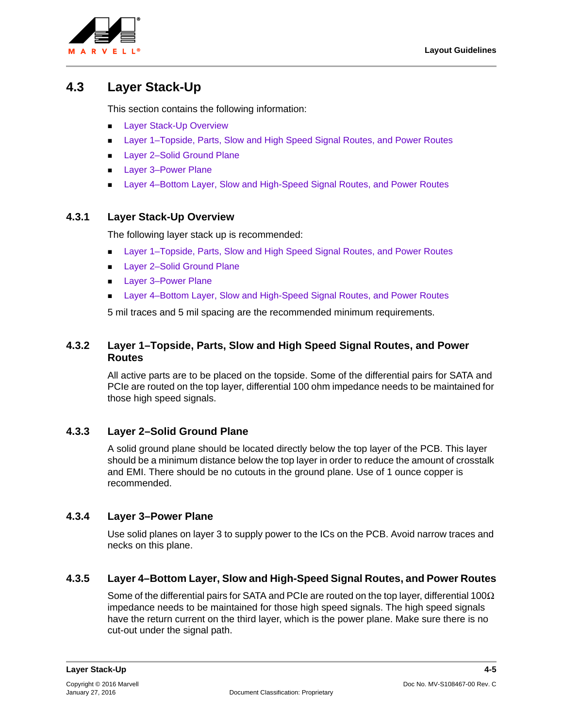

## <span id="page-30-0"></span>**4.3 Layer Stack-Up**

This section contains the following information:

- [Layer Stack-Up Overview](#page-30-1)
- [Layer 1–Topside, Parts, Slow and High Speed Signal Routes, and Power Routes](#page-30-2)
- [Layer 2–Solid Ground Plane](#page-30-3)
- **[Layer 3–Power Plane](#page-30-4)**
- [Layer 4–Bottom Layer, Slow and High-Speed Signal Routes, and Power Routes](#page-30-5)

#### <span id="page-30-1"></span>**4.3.1 Layer Stack-Up Overview**

The following layer stack up is recommended:

- [Layer 1–Topside, Parts, Slow and High Speed Signal Routes, and Power Routes](#page-30-2)
- [Layer 2–Solid Ground Plane](#page-30-3)
- [Layer 3–Power Plane](#page-30-4)
- [Layer 4–Bottom Layer, Slow and High-Speed Signal Routes, and Power Routes](#page-30-5)

5 mil traces and 5 mil spacing are the recommended minimum requirements.

#### <span id="page-30-2"></span>**4.3.2 Layer 1–Topside, Parts, Slow and High Speed Signal Routes, and Power Routes**

All active parts are to be placed on the topside. Some of the differential pairs for SATA and PCIe are routed on the top layer, differential 100 ohm impedance needs to be maintained for those high speed signals.

#### <span id="page-30-3"></span>**4.3.3 Layer 2–Solid Ground Plane**

A solid ground plane should be located directly below the top layer of the PCB. This layer should be a minimum distance below the top layer in order to reduce the amount of crosstalk and EMI. There should be no cutouts in the ground plane. Use of 1 ounce copper is recommended.

#### <span id="page-30-4"></span>**4.3.4 Layer 3–Power Plane**

Use solid planes on layer 3 to supply power to the ICs on the PCB. Avoid narrow traces and necks on this plane.

#### <span id="page-30-5"></span>**4.3.5 Layer 4–Bottom Layer, Slow and High-Speed Signal Routes, and Power Routes**

Some of the differential pairs for SATA and PCIe are routed on the top layer, differential 100 $\Omega$ impedance needs to be maintained for those high speed signals. The high speed signals have the return current on the third layer, which is the power plane. Make sure there is no cut-out under the signal path.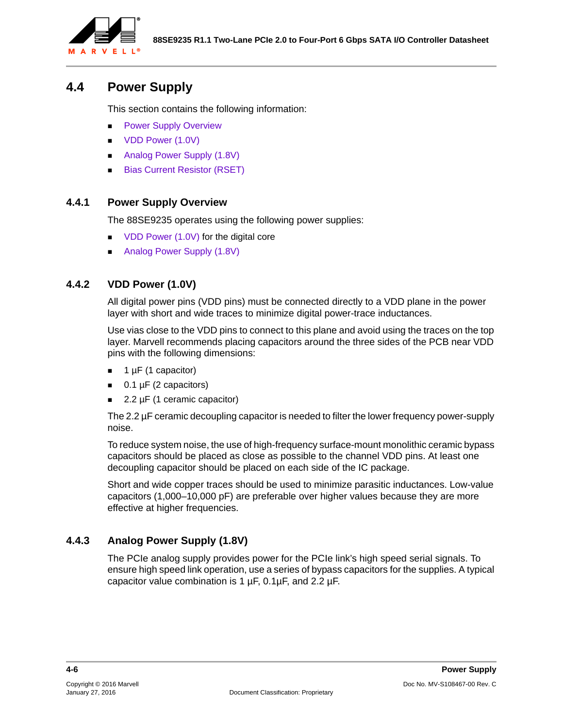

## <span id="page-31-0"></span>**4.4 Power Supply**

This section contains the following information:

- [Power Supply Overview](#page-31-1)
- [VDD Power \(1.0V\)](#page-31-2)
- [Analog Power Supply \(1.8V\)](#page-31-3)
- **[Bias Current Resistor \(RSET\)](#page-32-0)**

#### <span id="page-31-1"></span>**4.4.1 Power Supply Overview**

The 88SE9235 operates using the following power supplies:

- [VDD Power \(1.0V\)](#page-31-2) for the digital core
- [Analog Power Supply \(1.8V\)](#page-31-3)

#### <span id="page-31-2"></span>**4.4.2 VDD Power (1.0V)**

All digital power pins (VDD pins) must be connected directly to a VDD plane in the power layer with short and wide traces to minimize digital power-trace inductances.

Use vias close to the VDD pins to connect to this plane and avoid using the traces on the top layer. Marvell recommends placing capacitors around the three sides of the PCB near VDD pins with the following dimensions:

- $\blacksquare$  1 µF (1 capacitor)
- $\blacksquare$  0.1 µF (2 capacitors)
- 2.2 µF (1 ceramic capacitor)

The 2.2 µF ceramic decoupling capacitor is needed to filter the lower frequency power-supply noise.

To reduce system noise, the use of high-frequency surface-mount monolithic ceramic bypass capacitors should be placed as close as possible to the channel VDD pins. At least one decoupling capacitor should be placed on each side of the IC package.

Short and wide copper traces should be used to minimize parasitic inductances. Low-value capacitors (1,000–10,000 pF) are preferable over higher values because they are more effective at higher frequencies.

#### <span id="page-31-3"></span>**4.4.3 Analog Power Supply (1.8V)**

The PCIe analog supply provides power for the PCIe link's high speed serial signals. To ensure high speed link operation, use a series of bypass capacitors for the supplies. A typical capacitor value combination is 1  $\mu$ F, 0.1 $\mu$ F, and 2.2  $\mu$ F.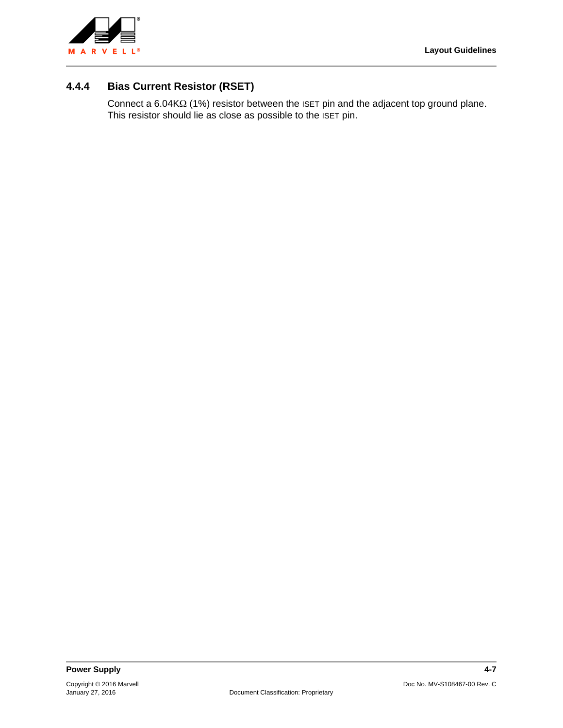

### <span id="page-32-0"></span>**4.4.4 Bias Current Resistor (RSET)**

Connect a 6.04KΩ (1%) resistor between the ISET pin and the adjacent top ground plane. This resistor should lie as close as possible to the ISET pin.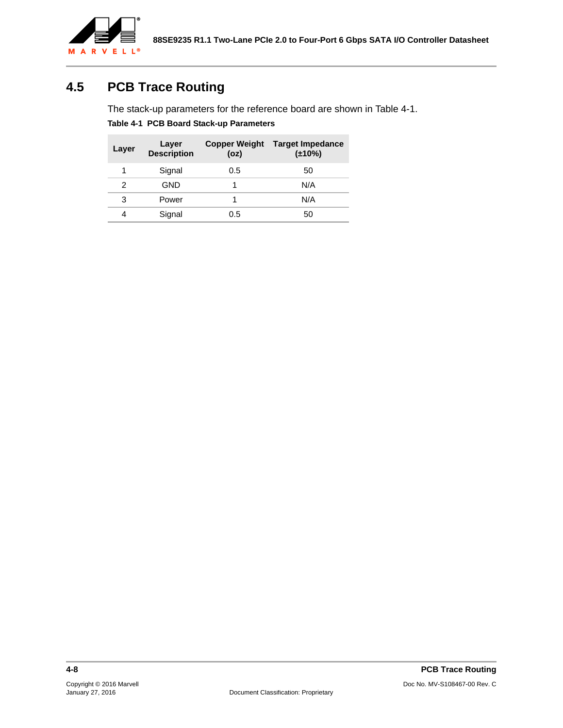

## <span id="page-33-1"></span><span id="page-33-0"></span>**4.5 PCB Trace Routing**

The stack-up parameters for the reference board are shown in [Table 4-1.](#page-33-1) **Table 4-1 PCB Board Stack-up Parameters** 

| Layer | Layer<br><b>Description</b> | <b>Copper Weight</b><br>(oz) | <b>Target Impedance</b><br>$(\pm 10\%)$ |
|-------|-----------------------------|------------------------------|-----------------------------------------|
| 1     | Signal                      | 0.5                          | 50                                      |
| 2     | GND                         |                              | N/A                                     |
| 3     | Power                       |                              | N/A                                     |
| 4     | Signal                      | 0.5                          | 50                                      |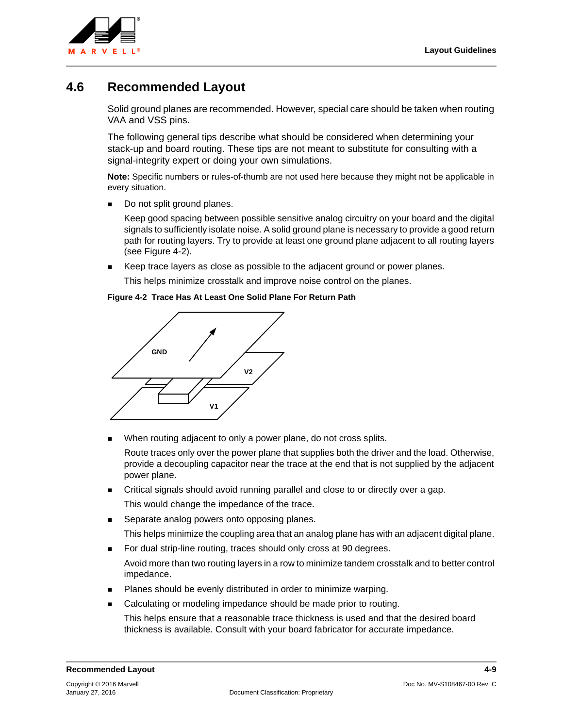

## <span id="page-34-0"></span>**4.6 Recommended Layout**

Solid ground planes are recommended. However, special care should be taken when routing VAA and VSS pins.

The following general tips describe what should be considered when determining your stack-up and board routing. These tips are not meant to substitute for consulting with a signal-integrity expert or doing your own simulations.

**Note:** Specific numbers or rules-of-thumb are not used here because they might not be applicable in every situation.

Do not split ground planes.

Keep good spacing between possible sensitive analog circuitry on your board and the digital signals to sufficiently isolate noise. A solid ground plane is necessary to provide a good return path for routing layers. Try to provide at least one ground plane adjacent to all routing layers (see [Figure 4-2\)](#page-34-1).

Keep trace layers as close as possible to the adjacent ground or power planes.

This helps minimize crosstalk and improve noise control on the planes.

#### **Figure 4-2 Trace Has At Least One Solid Plane For Return Path**

<span id="page-34-1"></span>

When routing adjacent to only a power plane, do not cross splits.

Route traces only over the power plane that supplies both the driver and the load. Otherwise, provide a decoupling capacitor near the trace at the end that is not supplied by the adjacent power plane.

- Critical signals should avoid running parallel and close to or directly over a gap. This would change the impedance of the trace.
- Separate analog powers onto opposing planes.

This helps minimize the coupling area that an analog plane has with an adjacent digital plane.

For dual strip-line routing, traces should only cross at 90 degrees.

Avoid more than two routing layers in a row to minimize tandem crosstalk and to better control impedance.

- Planes should be evenly distributed in order to minimize warping.
- Calculating or modeling impedance should be made prior to routing.

This helps ensure that a reasonable trace thickness is used and that the desired board thickness is available. Consult with your board fabricator for accurate impedance.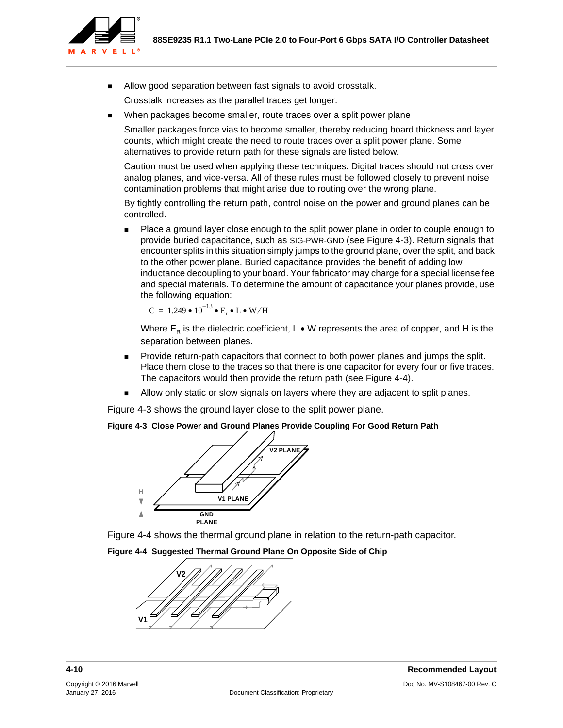

Allow good separation between fast signals to avoid crosstalk.

Crosstalk increases as the parallel traces get longer.

When packages become smaller, route traces over a split power plane

Smaller packages force vias to become smaller, thereby reducing board thickness and layer counts, which might create the need to route traces over a split power plane. Some alternatives to provide return path for these signals are listed below.

Caution must be used when applying these techniques. Digital traces should not cross over analog planes, and vice-versa. All of these rules must be followed closely to prevent noise contamination problems that might arise due to routing over the wrong plane.

By tightly controlling the return path, control noise on the power and ground planes can be controlled.

**Place a ground layer close enough to the split power plane in order to couple enough to** provide buried capacitance, such as SIG-PWR-GND (see [Figure 4-3\)](#page-35-0). Return signals that encounter splits in this situation simply jumps to the ground plane, over the split, and back to the other power plane. Buried capacitance provides the benefit of adding low inductance decoupling to your board. Your fabricator may charge for a special license fee and special materials. To determine the amount of capacitance your planes provide, use the following equation:

$$
C = 1.249 \bullet 10^{-13} \bullet E_r \bullet L \bullet W/H
$$

Where  $E_R$  is the dielectric coefficient,  $L \bullet W$  represents the area of copper, and H is the separation between planes.

- Provide return-path capacitors that connect to both power planes and jumps the split. Place them close to the traces so that there is one capacitor for every four or five traces. The capacitors would then provide the return path (see [Figure 4-4\)](#page-35-1).
- Allow only static or slow signals on layers where they are adjacent to split planes.

[Figure 4-3](#page-35-0) shows the ground layer close to the split power plane.

#### <span id="page-35-0"></span>**Figure 4-3 Close Power and Ground Planes Provide Coupling For Good Return Path**



[Figure 4-4](#page-35-1) shows the thermal ground plane in relation to the return-path capacitor.

#### <span id="page-35-1"></span>**Figure 4-4 Suggested Thermal Ground Plane On Opposite Side of Chip**

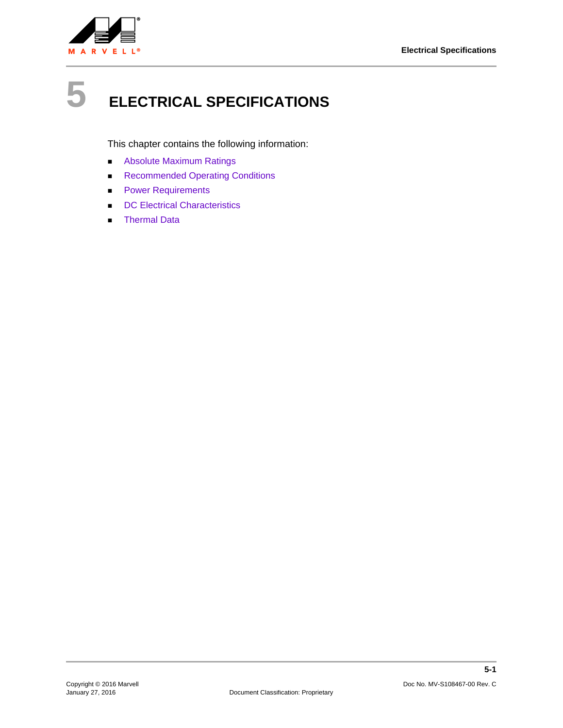

# <span id="page-36-0"></span>**5 ELECTRICAL SPECIFICATIONS**

This chapter contains the following information:

- **[Absolute Maximum Ratings](#page-37-0)**
- [Recommended Operating Conditions](#page-38-0)
- **[Power Requirements](#page-39-0)**
- [DC Electrical Characteristics](#page-40-0)
- [Thermal Data](#page-41-0)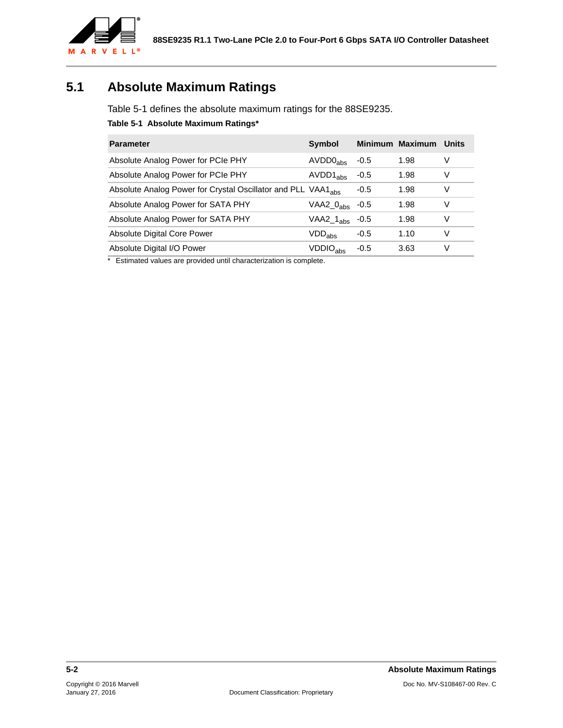

## <span id="page-37-1"></span><span id="page-37-0"></span>**5.1 Absolute Maximum Ratings**

[Table 5-1](#page-37-1) defines the absolute maximum ratings for the 88SE9235. **Table 5-1 Absolute Maximum Ratings\***

| <b>Parameter</b>                                                         | Symbol                 |        | Minimum Maximum | Units |
|--------------------------------------------------------------------------|------------------------|--------|-----------------|-------|
| Absolute Analog Power for PCIe PHY                                       | AVDDO <sub>abs</sub>   | $-0.5$ | 1.98            | V     |
| Absolute Analog Power for PCIe PHY                                       | $AVDD1_{abs}$          | $-0.5$ | 1.98            | V     |
| Absolute Analog Power for Crystal Oscillator and PLL VAA1 <sub>abs</sub> |                        | $-0.5$ | 1.98            | V     |
| Absolute Analog Power for SATA PHY                                       | $VAA2_0abs$            | $-0.5$ | 1.98            | V     |
| Absolute Analog Power for SATA PHY                                       | VAA2 $-1_{\text{abs}}$ | $-0.5$ | 1.98            | V     |
| Absolute Digital Core Power                                              | $VDD_{\rm abs}$        | $-0.5$ | 1.10            | V     |
| Absolute Digital I/O Power                                               | VDDIO <sub>abs</sub>   | $-0.5$ | 3.63            | V     |

\* Estimated values are provided until characterization is complete.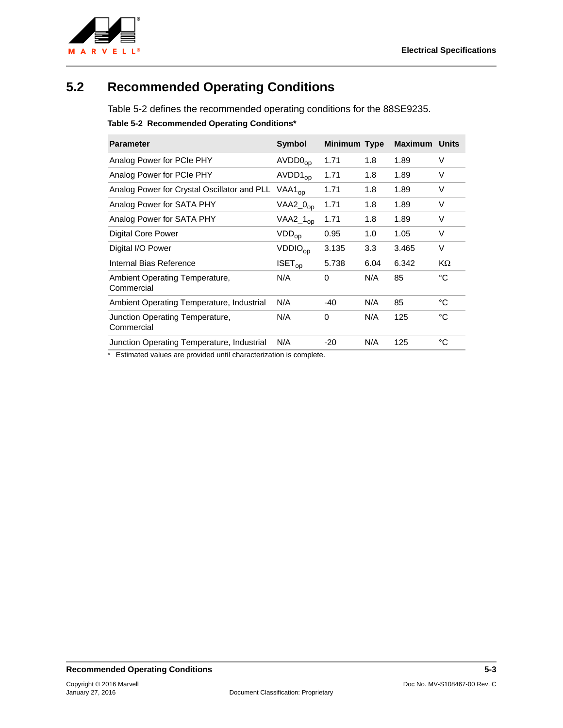

## <span id="page-38-1"></span><span id="page-38-0"></span>**5.2 Recommended Operating Conditions**

[Table 5-2](#page-38-1) defines the recommended operating conditions for the 88SE9235. **Table 5-2 Recommended Operating Conditions\***

| <b>Parameter</b>                              | <b>Symbol</b>          | <b>Minimum Type</b> |      | <b>Maximum Units</b> |        |
|-----------------------------------------------|------------------------|---------------------|------|----------------------|--------|
| Analog Power for PCIe PHY                     | AVDDO <sub>op</sub>    | 1.71                | 1.8  | 1.89                 | V      |
| Analog Power for PCIe PHY                     | $AVDD1_{op}$           | 1.71                | 1.8  | 1.89                 | V      |
| Analog Power for Crystal Oscillator and PLL   | VAA1 <sub>op</sub>     | 1.71                | 1.8  | 1.89                 | V      |
| Analog Power for SATA PHY                     | $VAA2_0$ <sub>op</sub> | 1.71                | 1.8  | 1.89                 | V      |
| Analog Power for SATA PHY                     | $VAA2_1op$             | 1.71                | 1.8  | 1.89                 | V      |
| <b>Digital Core Power</b>                     | VDD <sub>op</sub>      | 0.95                | 1.0  | 1.05                 | $\vee$ |
| Digital I/O Power                             | VDDIO <sub>op</sub>    | 3.135               | 3.3  | 3.465                | V      |
| Internal Bias Reference                       | ISET <sub>op</sub>     | 5.738               | 6.04 | 6.342                | KΩ     |
| Ambient Operating Temperature,<br>Commercial  | N/A                    | 0                   | N/A  | 85                   | °C     |
| Ambient Operating Temperature, Industrial     | N/A                    | -40                 | N/A  | 85                   | °C     |
| Junction Operating Temperature,<br>Commercial | N/A                    | $\Omega$            | N/A  | 125                  | °C     |
| Junction Operating Temperature, Industrial    | N/A                    | $-20$               | N/A  | 125                  | °C     |

\* Estimated values are provided until characterization is complete.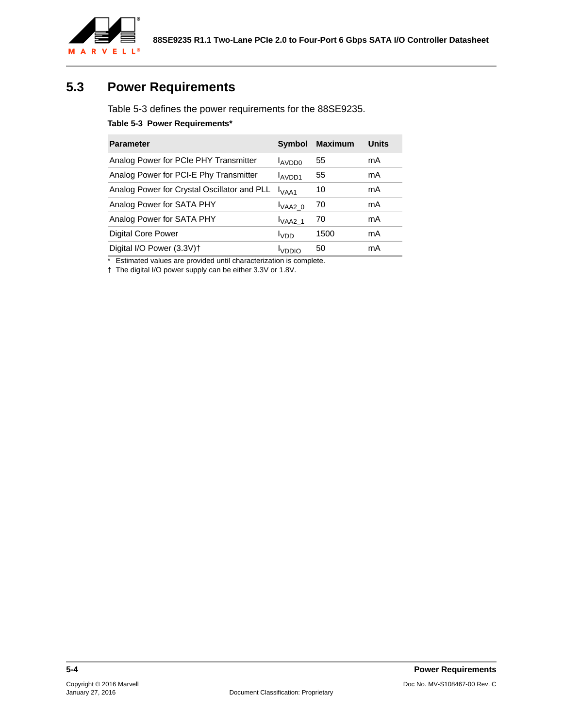

## <span id="page-39-1"></span><span id="page-39-0"></span>**5.3 Power Requirements**

[Table 5-3](#page-39-1) defines the power requirements for the 88SE9235. **Table 5-3 Power Requirements\***

| <b>Parameter</b>                            | Symbol            | <b>Maximum</b> | Units |
|---------------------------------------------|-------------------|----------------|-------|
| Analog Power for PCIe PHY Transmitter       | AVD <sub>D0</sub> | 55             | mA    |
| Analog Power for PCI-E Phy Transmitter      | LAVDD1            | 55             | mA    |
| Analog Power for Crystal Oscillator and PLL | $I_{VAA1}$        | 10             | mA    |
| Analog Power for SATA PHY                   | VAA20             | 70             | mA    |
| Analog Power for SATA PHY                   | VAA21             | 70             | mA    |
| <b>Digital Core Power</b>                   | $I_{VDD}$         | 1500           | mA    |
| Digital I/O Power (3.3V) <sup>+</sup>       | hynnin            | 50             | mA    |
|                                             |                   |                |       |

\* Estimated values are provided until characterization is complete.

† The digital I/O power supply can be either 3.3V or 1.8V.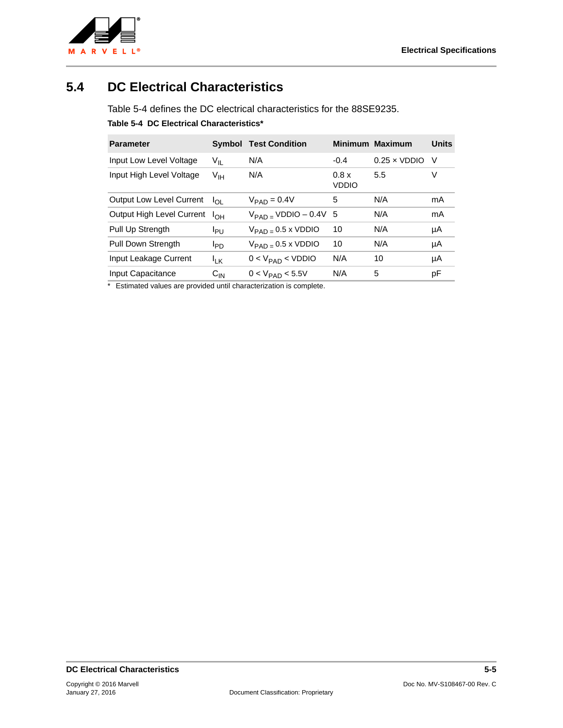

## <span id="page-40-1"></span><span id="page-40-0"></span>**5.4 DC Electrical Characteristics**

[Table 5-4](#page-40-1) defines the DC electrical characteristics for the 88SE9235. **Table 5-4 DC Electrical Characteristics\***

| <b>Parameter</b>                |                  | <b>Symbol Test Condition</b>     |                       | Minimum Maximum     | <b>Units</b> |
|---------------------------------|------------------|----------------------------------|-----------------------|---------------------|--------------|
| Input Low Level Voltage         | $V_{IL}$         | N/A                              | $-0.4$                | $0.25 \times VDDIO$ | - V          |
| Input High Level Voltage        | V <sub>IH</sub>  | N/A                              | 0.8 x<br><b>VDDIO</b> | 5.5                 | V            |
| <b>Output Low Level Current</b> | $I_{OL}$         | $V_{PAD} = 0.4V$                 | 5                     | N/A                 | mA           |
| Output High Level Current       | $I_{OH}$         | $V_{\text{PAD}}$ = VDDIO $-0.4V$ | -5                    | N/A                 | mA           |
| Pull Up Strength                | <b>I</b> PU      | $V_{PAD} = 0.5 \times VDDIO$     | 10                    | N/A                 | μA           |
| Pull Down Strength              | <b>I</b> PD      | $V_{PAD} = 0.5 \times VDDIO$     | 10                    | N/A                 | μA           |
| Input Leakage Current           | <sup>l</sup> i K | $0 < V_{PAD} < VDDIO$            | N/A                   | 10                  | μA           |
| Input Capacitance               | $C_{IN}$         | $0 < V_{PAD} < 5.5V$             | N/A                   | 5                   | рF           |

\* Estimated values are provided until characterization is complete.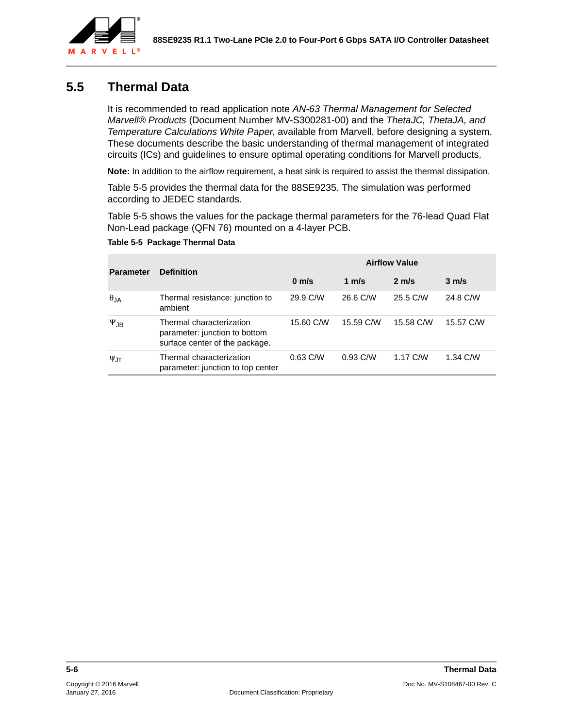

## <span id="page-41-0"></span>**5.5 Thermal Data**

It is recommended to read application note *AN-63 Thermal Management for Selected Marvell® Products* (Document Number MV-S300281-00) and the *ThetaJC, ThetaJA, and Temperature Calculations White Paper*, available from Marvell, before designing a system. These documents describe the basic understanding of thermal management of integrated circuits (ICs) and guidelines to ensure optimal operating conditions for Marvell products.

**Note:** In addition to the airflow requirement, a heat sink is required to assist the thermal dissipation.

[Table 5-5](#page-41-1) provides the thermal data for the 88SE9235. The simulation was performed according to JEDEC standards.

[Table 5-5](#page-41-1) shows the values for the package thermal parameters for the 76-lead Quad Flat Non-Lead package (QFN 76) mounted on a 4-layer PCB.

| <b>Parameter</b> | <b>Definition</b>                                                                           | <b>Airflow Value</b> |            |                   |                   |  |
|------------------|---------------------------------------------------------------------------------------------|----------------------|------------|-------------------|-------------------|--|
|                  |                                                                                             | $0 \text{ m/s}$      | 1 m/s      | $2 \, \text{m/s}$ | $3 \, \text{m/s}$ |  |
| $\theta_{JA}$    | Thermal resistance: junction to<br>ambient                                                  | 29.9 C/W             | 26.6 C/W   | 25.5 C/W          | 24.8 C/W          |  |
| $\Psi_{JB}$      | Thermal characterization<br>parameter: junction to bottom<br>surface center of the package. | 15.60 C/W            | 15.59 C/W  | 15.58 C/W         | 15.57 C/W         |  |
| $\Psi$ JT        | Thermal characterization<br>parameter: junction to top center                               | $0.63$ C/W           | $0.93$ C/W | 1.17 C/W          | 1.34 C/W          |  |

#### <span id="page-41-1"></span>**Table 5-5 Package Thermal Data**